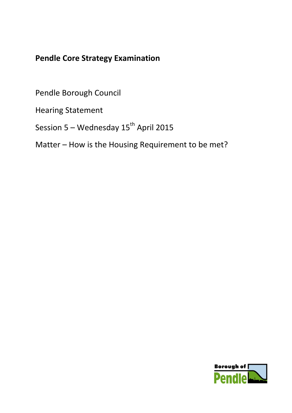# **Pendle Core Strategy Examination**

Pendle Borough Council

Hearing Statement

Session 5 – Wednesday  $15^{th}$  April 2015

Matter – How is the Housing Requirement to be met?

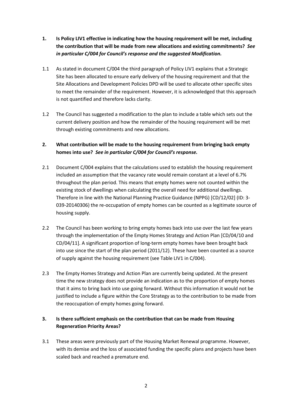- **1. Is Policy LIV1 effective in indicating how the housing requirement will be met, including the contribution that will be made from new allocations and existing commitments?** *See in particular C/004 for Council's response and the suggested Modification.*
- 1.1 As stated in document C/004 the third paragraph of Policy LIV1 explains that a Strategic Site has been allocated to ensure early delivery of the housing requirement and that the Site Allocations and Development Policies DPD will be used to allocate other specific sites to meet the remainder of the requirement. However, it is acknowledged that this approach is not quantified and therefore lacks clarity.
- 1.2 The Council has suggested a modification to the plan to include a table which sets out the current delivery position and how the remainder of the housing requirement will be met through existing commitments and new allocations.

## **2. What contribution will be made to the housing requirement from bringing back empty homes into use?** *See in particular C/004 for Council's response.*

- 2.1 Document C/004 explains that the calculations used to establish the housing requirement included an assumption that the vacancy rate would remain constant at a level of 6.7% throughout the plan period. This means that empty homes were not counted within the existing stock of dwellings when calculating the overall need for additional dwellings. Therefore in line with the National Planning Practice Guidance (NPPG) [CD/12/02] (ID: 3- 039-20140306) the re-occupation of empty homes can be counted as a legitimate source of housing supply.
- 2.2 The Council has been working to bring empty homes back into use over the last few years through the implementation of the Empty Homes Strategy and Action Plan [CD/04/10 and CD/04/11]. A significant proportion of long-term empty homes have been brought back into use since the start of the plan period (2011/12). These have been counted as a source of supply against the housing requirement (see Table LIV1 in C/004).
- 2.3 The Empty Homes Strategy and Action Plan are currently being updated. At the present time the new strategy does not provide an indication as to the proportion of empty homes that it aims to bring back into use going forward. Without this information it would not be justified to include a figure within the Core Strategy as to the contribution to be made from the reoccupation of empty homes going forward.

## **3. Is there sufficient emphasis on the contribution that can be made from Housing Regeneration Priority Areas?**

3.1 These areas were previously part of the Housing Market Renewal programme. However, with its demise and the loss of associated funding the specific plans and projects have been scaled back and reached a premature end.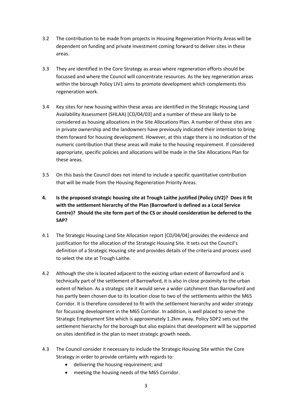- 3.2 The contribution to be made from projects in Housing Regeneration Priority Areas will be dependent on funding and private investment coming forward to deliver sites in these areas.
- 3.3 They are identified in the Core Strategy as areas where regeneration efforts should be focussed and where the Council will concentrate resources. As the key regeneration areas within the borough Policy LIV1 aims to promote development which complements this regeneration work.
- 3.4 Key sites for new housing within these areas are identified in the Strategic Housing Land Availability Assessment (SHLAA) [CD/04/03] and a number of these are likely to be considered as housing allocations in the Site Allocations Plan. A number of these sites are in private ownership and the landowners have previously indicated their intention to bring them forward for housing development. However, at this stage there is no indication of the numeric contribution that these areas will make to the housing requirement. If considered appropriate, specific policies and allocations will be made in the Site Allocations Plan for these areas.
- 3.5 On this basis the Council does not intend to include a specific quantitative contribution that will be made from the Housing Regeneration Priority Areas.
- **4. Is the proposed strategic housing site at Trough Laithe justified (Policy LIV2)? Does it fit with the settlement hierarchy of the Plan (Barrowford is defined as a Local Service Centre)? Should the site form part of the CS or should consideration be deferred to the SAP?**
- 4.1 The Strategic Housing Land Site Allocation report [CD/04/04] provides the evidence and justification for the allocation of the Strategic Housing Site. It sets out the Council's definition of a Strategic Housing site and provides details of the criteria and process used to select the site at Trough Laithe.
- 4.2 Although the site is located adjacent to the existing urban extent of Barrowford and is technically part of the settlement of Barrowford, it is also in close proximity to the urban extent of Nelson. As a strategic site it would serve a wider catchment than Barrowford and has partly been chosen due to its location close to two of the settlements within the M65 Corridor. It is therefore considered to fit with the settlement hierarchy and wider strategy for focussing development in the M65 Corridor. In addition, is well placed to serve the Strategic Employment Site which is approximately 1.2km away. Policy SDP2 sets out the settlement hierarchy for the borough but also explains that development will be supported on sites identified in the plan to meet strategic growth needs.
- 4.3 The Council consider it necessary to include the Strategic Housing Site within the Core Strategy in order to provide certainty with regards to:
	- delivering the housing requirement; and
	- meeting the housing needs of the M65 Corridor.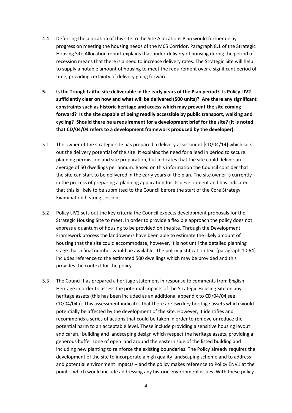- 4.4 Deferring the allocation of this site to the Site Allocations Plan would further delay progress on meeting the housing needs of the M65 Corridor. Paragraph 8.1 of the Strategic Housing Site Allocation report explains that under-delivery of housing during the period of recession means that there is a need to increase delivery rates. The Strategic Site will help to supply a notable amount of housing to meet the requirement over a significant period of time, providing certainty of delivery going forward.
- **5. Is the Trough Laithe site deliverable in the early years of the Plan period? Is Policy LIV2 sufficiently clear on how and what will be delivered (500 units)? Are there any significant constraints such as historic heritage and access which may prevent the site coming forward? Is the site capable of being readily accessible by public transport, walking and cycling? Should there be a requirement for a development brief for the site? (it is noted that CD/04/04 refers to a development framework produced by the developer).**
- 5.1 The owner of the strategic site has prepared a delivery assessment [CD/04/14] which sets out the delivery potential of the site. It explains the need for a lead in period to secure planning permission and site preparation, but indicates that the site could deliver an average of 50 dwellings per annum. Based on this information the Council consider that the site can start to be delivered in the early years of the plan. The site owner is currently in the process of preparing a planning application for its development and has indicated that this is likely to be submitted to the Council before the start of the Core Strategy Examination hearing sessions.
- 5.2 Policy LIV2 sets out the key criteria the Council expects development proposals for the Strategic Housing Site to meet. In order to provide a flexible approach the policy does not express a quantum of housing to be provided on the site. Through the Development Framework process the landowners have been able to estimate the likely amount of housing that the site could accommodate, however, it is not until the detailed planning stage that a final number would be available. The policy justification text (paragraph 10.64) includes reference to the estimated 500 dwellings which may be provided and this provides the context for the policy.
- 5.3 The Council has prepared a heritage statement in response to comments from English Heritage in order to assess the potential impacts of the Strategic Housing Site on any heritage assets (this has been included as an additional appendix to CD/04/04 see CD/04/04a). This assessment indicates that there are two key heritage assets which would potentially be affected by the development of the site. However, it identifies and recommends a series of actions that could be taken in order to remove or reduce the potential harm to an acceptable level. These include providing a sensitive housing layout and careful building and landscaping design which respect the heritage assets, providing a generous buffer zone of open land around the eastern side of the listed building and including new planting to reinforce the existing boundaries. The Policy already requires the development of the site to incorporate a high quality landscaping scheme and to address and potential environment impacts – and the policy makes reference to Policy ENV1 at the point – which would include addressing any historic environment issues. With these policy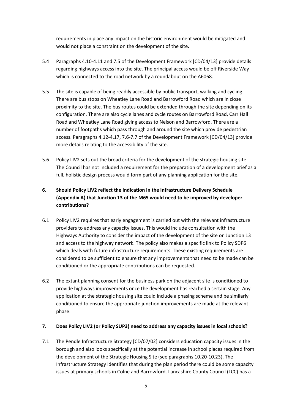requirements in place any impact on the historic environment would be mitigated and would not place a constraint on the development of the site.

- 5.4 Paragraphs 4.10-4.11 and 7.5 of the Development Framework [CD/04/13] provide details regarding highways access into the site. The principal access would be off Riverside Way which is connected to the road network by a roundabout on the A6068.
- 5.5 The site is capable of being readily accessible by public transport, walking and cycling. There are bus stops on Wheatley Lane Road and Barrowford Road which are in close proximity to the site. The bus routes could be extended through the site depending on its configuration. There are also cycle lanes and cycle routes on Barrowford Road, Carr Hall Road and Wheatley Lane Road giving access to Nelson and Barrowford. There are a number of footpaths which pass through and around the site which provide pedestrian access. Paragraphs 4.12-4.17, 7.6-7.7 of the Development Framework [CD/04/13] provide more details relating to the accessibility of the site.
- 5.6 Policy LIV2 sets out the broad criteria for the development of the strategic housing site. The Council has not included a requirement for the preparation of a development brief as a full, holistic design process would form part of any planning application for the site.

# **6. Should Policy LIV2 reflect the indication in the Infrastructure Delivery Schedule (Appendix A) that Junction 13 of the M65 would need to be improved by developer contributions?**

- 6.1 Policy LIV2 requires that early engagement is carried out with the relevant infrastructure providers to address any capacity issues. This would include consultation with the Highways Authority to consider the impact of the development of the site on Junction 13 and access to the highway network. The policy also makes a specific link to Policy SDP6 which deals with future infrastructure requirements. These existing requirements are considered to be sufficient to ensure that any improvements that need to be made can be conditioned or the appropriate contributions can be requested.
- 6.2 The extant planning consent for the business park on the adjacent site is conditioned to provide highways improvements once the development has reached a certain stage. Any application at the strategic housing site could include a phasing scheme and be similarly conditioned to ensure the appropriate junction improvements are made at the relevant phase.

### **7. Does Policy LIV2 (or Policy SUP3) need to address any capacity issues in local schools?**

7.1 The Pendle Infrastructure Strategy [CD/07/02] considers education capacity issues in the borough and also looks specifically at the potential increase in school places required from the development of the Strategic Housing Site (see paragraphs 10.20-10.23). The Infrastructure Strategy identifies that during the plan period there could be some capacity issues at primary schools in Colne and Barrowford. Lancashire County Council (LCC) has a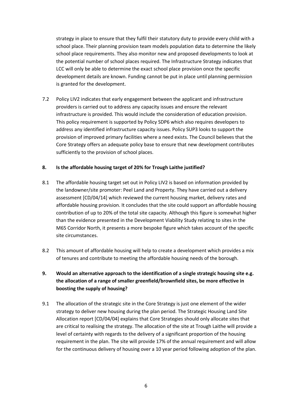strategy in place to ensure that they fulfil their statutory duty to provide every child with a school place. Their planning provision team models population data to determine the likely school place requirements. They also monitor new and proposed developments to look at the potential number of school places required. The Infrastructure Strategy indicates that LCC will only be able to determine the exact school place provision once the specific development details are known. Funding cannot be put in place until planning permission is granted for the development.

7.2 Policy LIV2 indicates that early engagement between the applicant and infrastructure providers is carried out to address any capacity issues and ensure the relevant infrastructure is provided. This would include the consideration of education provision. This policy requirement is supported by Policy SDP6 which also requires developers to address any identified infrastructure capacity issues. Policy SUP3 looks to support the provision of improved primary facilities where a need exists. The Council believes that the Core Strategy offers an adequate policy base to ensure that new development contributes sufficiently to the provision of school places.

#### **8. Is the affordable housing target of 20% for Trough Laithe justified?**

- 8.1 The affordable housing target set out in Policy LIV2 is based on information provided by the landowner/site promoter: Peel Land and Property. They have carried out a delivery assessment [CD/04/14] which reviewed the current housing market, delivery rates and affordable housing provision. It concludes that the site could support an affordable housing contribution of up to 20% of the total site capacity. Although this figure is somewhat higher than the evidence presented in the Development Viability Study relating to sites in the M65 Corridor North, it presents a more bespoke figure which takes account of the specific site circumstances.
- 8.2 This amount of affordable housing will help to create a development which provides a mix of tenures and contribute to meeting the affordable housing needs of the borough.

## **9. Would an alternative approach to the identification of a single strategic housing site e.g. the allocation of a range of smaller greenfield/brownfield sites, be more effective in boosting the supply of housing?**

9.1 The allocation of the strategic site in the Core Strategy is just one element of the wider strategy to deliver new housing during the plan period. The Strategic Housing Land Site Allocation report [CD/04/04] explains that Core Strategies should only allocate sites that are critical to realising the strategy. The allocation of the site at Trough Laithe will provide a level of certainty with regards to the delivery of a significant proportion of the housing requirement in the plan. The site will provide 17% of the annual requirement and will allow for the continuous delivery of housing over a 10 year period following adoption of the plan.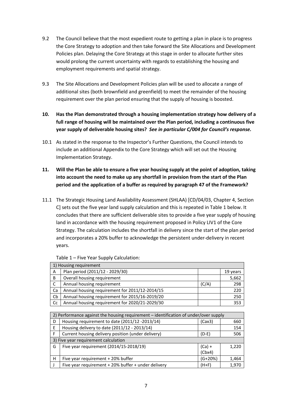- 9.2 The Council believe that the most expedient route to getting a plan in place is to progress the Core Strategy to adoption and then take forward the Site Allocations and Development Policies plan. Delaying the Core Strategy at this stage in order to allocate further sites would prolong the current uncertainty with regards to establishing the housing and employment requirements and spatial strategy.
- 9.3 The Site Allocations and Development Policies plan will be used to allocate a range of additional sites (both brownfield and greenfield) to meet the remainder of the housing requirement over the plan period ensuring that the supply of housing is boosted.
- **10. Has the Plan demonstrated through a housing implementation strategy how delivery of a full range of housing will be maintained over the Plan period, including a continuous five year supply of deliverable housing sites?** *See in particular C/004 for Council's response.*
- 10.1 As stated in the response to the Inspector's Further Questions, the Council intends to include an additional Appendix to the Core Strategy which will set out the Housing Implementation Strategy.
- **11. Will the Plan be able to ensure a five year housing supply at the point of adoption, taking into account the need to make up any shortfall in provision from the start of the Plan period and the application of a buffer as required by paragraph 47 of the Framework?**
- 11.1 The Strategic Housing Land Availability Assessment (SHLAA) [CD/04/03, Chapter 4, Section C] sets out the five year land supply calculation and this is repeated in Table 1 below. It concludes that there are sufficient deliverable sites to provide a five year supply of housing land in accordance with the housing requirement proposed in Policy LIV1 of the Core Strategy. The calculation includes the shortfall in delivery since the start of the plan period and incorporates a 20% buffer to acknowledge the persistent under-delivery in recent years.

| 1) Housing requirement |                                                |       |          |
|------------------------|------------------------------------------------|-------|----------|
| A                      | Plan period (2011/12 - 2029/30)                |       | 19 years |
| B                      | Overall housing requirement                    |       | 5,662    |
|                        | Annual housing requirement                     | (C/A) | 298      |
| Ca                     | Annual housing requirement for 2011/12-2014/15 |       | 220      |
| Cb                     | Annual housing requirement for 2015/16-2019/20 |       | 250      |
| Cc                     | Annual housing requirement for 2020/21-2029/30 |       | 353      |

Table 1 – Five Year Supply Calculation:

| 2) Performance against the housing requirement – identification of under/over supply |           |       |  |
|--------------------------------------------------------------------------------------|-----------|-------|--|
| Housing requirement to date (2011/12 -2013/14)                                       | (Cax3)    | 660   |  |
| Housing delivery to date (2011/12 - 2013/14)                                         |           | 154   |  |
| Current housing delivery position (under delivery)                                   | $(D-E)$   | 506   |  |
| 3) Five year requirement calculation                                                 |           |       |  |
| Five year requirement (2014/15-2018/19)                                              | $(Ca) +$  | 1,220 |  |
|                                                                                      | (Chx4)    |       |  |
| Five year requirement + 20% buffer                                                   | $(G+20%)$ | 1,464 |  |
| Five year requirement + 20% buffer + under delivery                                  | $(H+F)$   | 1,970 |  |
|                                                                                      |           |       |  |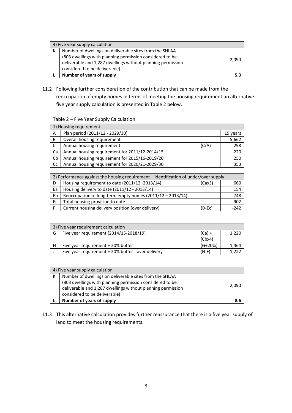| 4) Five year supply calculation |                                                                                                                                                          |  |       |
|---------------------------------|----------------------------------------------------------------------------------------------------------------------------------------------------------|--|-------|
| К                               | Number of dwellings on deliverable sites from the SHLAA                                                                                                  |  |       |
|                                 | (803 dwellings with planning permission considered to be<br>deliverable and 1,287 dwellings without planning permission<br>considered to be deliverable) |  | 2.090 |
|                                 | Number of years of supply                                                                                                                                |  |       |

11.2 Following further consideration of the contribution that can be made from the reoccupation of empty homes in terms of meeting the housing requirement an alternative five year supply calculation is presented in Table 2 below.

#### Table 2 – Five Year Supply Calculation:

| 1) Housing requirement |                                                |       |          |
|------------------------|------------------------------------------------|-------|----------|
| A                      | Plan period (2011/12 - 2029/30)                |       | 19 years |
| B                      | Overall housing requirement                    |       | 5,662    |
| <sub>c</sub>           | Annual housing requirement                     | (C/A) | 298      |
| Ca                     | Annual housing requirement for 2011/12-2014/15 |       | 220      |
| Cb                     | Annual housing requirement for 2015/16-2019/20 |       | 250      |
| Cc                     | Annual housing requirement for 2020/21-2029/30 |       | 353      |

| 2) Performance against the housing requirement – identification of under/over supply |                                                           |          |        |
|--------------------------------------------------------------------------------------|-----------------------------------------------------------|----------|--------|
| D                                                                                    | Housing requirement to date (2011/12 -2013/14)            | (Cax3)   | 660    |
| Ea                                                                                   | Housing delivery to date (2011/12 - 2013/14)              |          | 154    |
| Eb                                                                                   | Reoccupation of long-term empty homes (2011/12 - 2013/14) |          | 748    |
| Ec                                                                                   | Total housing provision to date                           |          | 902    |
|                                                                                      | Current housing delivery position (over delivery)         | $(D-EC)$ | $-242$ |

| 3) Five year requirement calculation |                                                    |           |       |
|--------------------------------------|----------------------------------------------------|-----------|-------|
| G                                    | Five year requirement (2014/15-2018/19)            | $(Ca) +$  | 1,220 |
|                                      |                                                    | (Chx4)    |       |
| н                                    | Five year requirement + 20% buffer                 | $(G+20%)$ | 1,464 |
|                                      | Five year requirement + 20% buffer - over delivery | $(H-F)$   |       |

| 4) Five year supply calculation |                                                             |  |       |
|---------------------------------|-------------------------------------------------------------|--|-------|
| к                               | Number of dwellings on deliverable sites from the SHLAA     |  |       |
|                                 | (803 dwellings with planning permission considered to be    |  |       |
|                                 | deliverable and 1,287 dwellings without planning permission |  | 2.090 |
|                                 | considered to be deliverable)                               |  |       |
|                                 | Number of years of supply                                   |  | 8.6   |

11.3 This alternative calculation provides further reassurance that there is a five year supply of land to meet the housing requirements.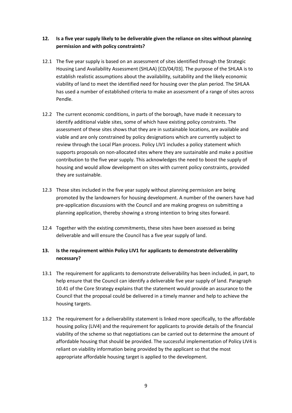## **12. Is a five year supply likely to be deliverable given the reliance on sites without planning permission and with policy constraints?**

- 12.1 The five year supply is based on an assessment of sites identified through the Strategic Housing Land Availability Assessment (SHLAA) [CD/04/03]. The purpose of the SHLAA is to establish realistic assumptions about the availability, suitability and the likely economic viability of land to meet the identified need for housing over the plan period. The SHLAA has used a number of established criteria to make an assessment of a range of sites across Pendle.
- 12.2 The current economic conditions, in parts of the borough, have made it necessary to identify additional viable sites, some of which have existing policy constraints. The assessment of these sites shows that they are in sustainable locations, are available and viable and are only constrained by policy designations which are currently subject to review through the Local Plan process. Policy LIV1 includes a policy statement which supports proposals on non-allocated sites where they are sustainable and make a positive contribution to the five year supply. This acknowledges the need to boost the supply of housing and would allow development on sites with current policy constraints, provided they are sustainable.
- 12.3 Those sites included in the five year supply without planning permission are being promoted by the landowners for housing development. A number of the owners have had pre-application discussions with the Council and are making progress on submitting a planning application, thereby showing a strong intention to bring sites forward.
- 12.4 Together with the existing commitments, these sites have been assessed as being deliverable and will ensure the Council has a five year supply of land.

## **13. Is the requirement within Policy LIV1 for applicants to demonstrate deliverability necessary?**

- 13.1 The requirement for applicants to demonstrate deliverability has been included, in part, to help ensure that the Council can identify a deliverable five year supply of land. Paragraph 10.41 of the Core Strategy explains that the statement would provide an assurance to the Council that the proposal could be delivered in a timely manner and help to achieve the housing targets.
- 13.2 The requirement for a deliverability statement is linked more specifically, to the affordable housing policy (LIV4) and the requirement for applicants to provide details of the financial viability of the scheme so that negotiations can be carried out to determine the amount of affordable housing that should be provided. The successful implementation of Policy LIV4 is reliant on viability information being provided by the applicant so that the most appropriate affordable housing target is applied to the development.